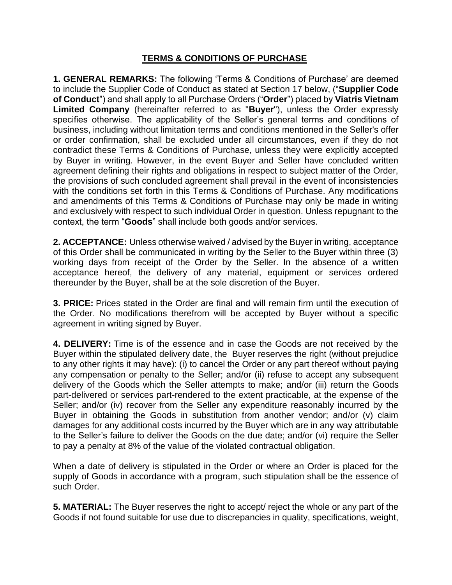## **TERMS & CONDITIONS OF PURCHASE**

**1. GENERAL REMARKS:** The following 'Terms & Conditions of Purchase' are deemed to include the Supplier Code of Conduct as stated at Section 17 below, ("**Supplier Code of Conduct**") and shall apply to all Purchase Orders ("**Order**") placed by **Viatris Vietnam Limited Company** (hereinafter referred to as "**Buyer**"), unless the Order expressly specifies otherwise. The applicability of the Seller's general terms and conditions of business, including without limitation terms and conditions mentioned in the Seller's offer or order confirmation, shall be excluded under all circumstances, even if they do not contradict these Terms & Conditions of Purchase, unless they were explicitly accepted by Buyer in writing. However, in the event Buyer and Seller have concluded written agreement defining their rights and obligations in respect to subject matter of the Order, the provisions of such concluded agreement shall prevail in the event of inconsistencies with the conditions set forth in this Terms & Conditions of Purchase. Any modifications and amendments of this Terms & Conditions of Purchase may only be made in writing and exclusively with respect to such individual Order in question. Unless repugnant to the context, the term "**Goods**" shall include both goods and/or services.

**2. ACCEPTANCE:** Unless otherwise waived / advised by the Buyer in writing, acceptance of this Order shall be communicated in writing by the Seller to the Buyer within three (3) working days from receipt of the Order by the Seller. In the absence of a written acceptance hereof, the delivery of any material, equipment or services ordered thereunder by the Buyer, shall be at the sole discretion of the Buyer.

**3. PRICE:** Prices stated in the Order are final and will remain firm until the execution of the Order. No modifications therefrom will be accepted by Buyer without a specific agreement in writing signed by Buyer.

**4. DELIVERY:** Time is of the essence and in case the Goods are not received by the Buyer within the stipulated delivery date, the Buyer reserves the right (without prejudice to any other rights it may have): (i) to cancel the Order or any part thereof without paying any compensation or penalty to the Seller; and/or (ii) refuse to accept any subsequent delivery of the Goods which the Seller attempts to make; and/or (iii) return the Goods part-delivered or services part-rendered to the extent practicable, at the expense of the Seller; and/or (iv) recover from the Seller any expenditure reasonably incurred by the Buyer in obtaining the Goods in substitution from another vendor; and/or (v) claim damages for any additional costs incurred by the Buyer which are in any way attributable to the Seller's failure to deliver the Goods on the due date; and/or (vi) require the Seller to pay a penalty at 8% of the value of the violated contractual obligation.

When a date of delivery is stipulated in the Order or where an Order is placed for the supply of Goods in accordance with a program, such stipulation shall be the essence of such Order.

**5. MATERIAL:** The Buyer reserves the right to accept/ reject the whole or any part of the Goods if not found suitable for use due to discrepancies in quality, specifications, weight,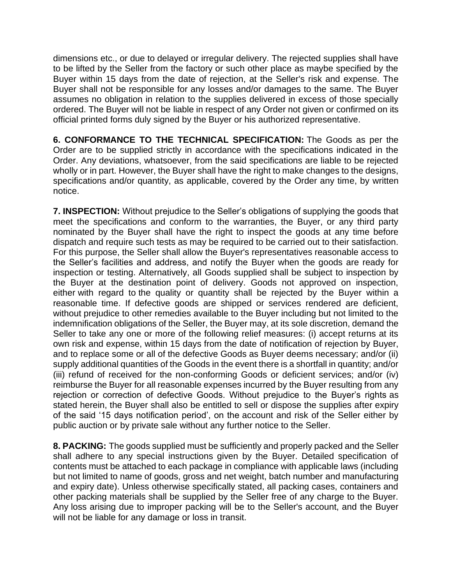dimensions etc., or due to delayed or irregular delivery. The rejected supplies shall have to be lifted by the Seller from the factory or such other place as maybe specified by the Buyer within 15 days from the date of rejection, at the Seller's risk and expense. The Buyer shall not be responsible for any losses and/or damages to the same. The Buyer assumes no obligation in relation to the supplies delivered in excess of those specially ordered. The Buyer will not be liable in respect of any Order not given or confirmed on its official printed forms duly signed by the Buyer or his authorized representative.

**6. CONFORMANCE TO THE TECHNICAL SPECIFICATION:** The Goods as per the Order are to be supplied strictly in accordance with the specifications indicated in the Order. Any deviations, whatsoever, from the said specifications are liable to be rejected wholly or in part. However, the Buyer shall have the right to make changes to the designs, specifications and/or quantity, as applicable, covered by the Order any time, by written notice.

**7. INSPECTION:** Without prejudice to the Seller's obligations of supplying the goods that meet the specifications and conform to the warranties, the Buyer, or any third party nominated by the Buyer shall have the right to inspect the goods at any time before dispatch and require such tests as may be required to be carried out to their satisfaction. For this purpose, the Seller shall allow the Buyer's representatives reasonable access to the Seller's facilities and address, and notify the Buyer when the goods are ready for inspection or testing. Alternatively, all Goods supplied shall be subject to inspection by the Buyer at the destination point of delivery. Goods not approved on inspection, either with regard to the quality or quantity shall be rejected by the Buyer within a reasonable time. If defective goods are shipped or services rendered are deficient, without prejudice to other remedies available to the Buyer including but not limited to the indemnification obligations of the Seller, the Buyer may, at its sole discretion, demand the Seller to take any one or more of the following relief measures: (i) accept returns at its own risk and expense, within 15 days from the date of notification of rejection by Buyer, and to replace some or all of the defective Goods as Buyer deems necessary; and/or (ii) supply additional quantities of the Goods in the event there is a shortfall in quantity; and/or (iii) refund of received for the non-conforming Goods or deficient services; and/or (iv) reimburse the Buyer for all reasonable expenses incurred by the Buyer resulting from any rejection or correction of defective Goods. Without prejudice to the Buyer's rights as stated herein, the Buyer shall also be entitled to sell or dispose the supplies after expiry of the said '15 days notification period', on the account and risk of the Seller either by public auction or by private sale without any further notice to the Seller.

**8. PACKING:** The goods supplied must be sufficiently and properly packed and the Seller shall adhere to any special instructions given by the Buyer. Detailed specification of contents must be attached to each package in compliance with applicable laws (including but not limited to name of goods, gross and net weight, batch number and manufacturing and expiry date). Unless otherwise specifically stated, all packing cases, containers and other packing materials shall be supplied by the Seller free of any charge to the Buyer. Any loss arising due to improper packing will be to the Seller's account, and the Buyer will not be liable for any damage or loss in transit.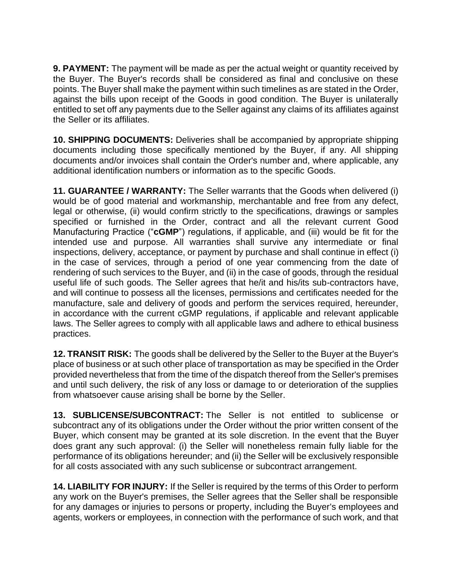**9. PAYMENT:** The payment will be made as per the actual weight or quantity received by the Buyer. The Buyer's records shall be considered as final and conclusive on these points. The Buyer shall make the payment within such timelines as are stated in the Order, against the bills upon receipt of the Goods in good condition. The Buyer is unilaterally entitled to set off any payments due to the Seller against any claims of its affiliates against the Seller or its affiliates.

**10. SHIPPING DOCUMENTS:** Deliveries shall be accompanied by appropriate shipping documents including those specifically mentioned by the Buyer, if any. All shipping documents and/or invoices shall contain the Order's number and, where applicable, any additional identification numbers or information as to the specific Goods.

**11. GUARANTEE / WARRANTY:** The Seller warrants that the Goods when delivered (i) would be of good material and workmanship, merchantable and free from any defect, legal or otherwise, (ii) would confirm strictly to the specifications, drawings or samples specified or furnished in the Order, contract and all the relevant current Good Manufacturing Practice ("**cGMP**") regulations, if applicable, and (iii) would be fit for the intended use and purpose. All warranties shall survive any intermediate or final inspections, delivery, acceptance, or payment by purchase and shall continue in effect (i) in the case of services, through a period of one year commencing from the date of rendering of such services to the Buyer, and (ii) in the case of goods, through the residual useful life of such goods. The Seller agrees that he/it and his/its sub-contractors have, and will continue to possess all the licenses, permissions and certificates needed for the manufacture, sale and delivery of goods and perform the services required, hereunder, in accordance with the current cGMP regulations, if applicable and relevant applicable laws. The Seller agrees to comply with all applicable laws and adhere to ethical business practices.

**12. TRANSIT RISK:** The goods shall be delivered by the Seller to the Buyer at the Buyer's place of business or at such other place of transportation as may be specified in the Order provided nevertheless that from the time of the dispatch thereof from the Seller's premises and until such delivery, the risk of any loss or damage to or deterioration of the supplies from whatsoever cause arising shall be borne by the Seller.

**13. SUBLICENSE/SUBCONTRACT:** The Seller is not entitled to sublicense or subcontract any of its obligations under the Order without the prior written consent of the Buyer, which consent may be granted at its sole discretion. In the event that the Buyer does grant any such approval: (i) the Seller will nonetheless remain fully liable for the performance of its obligations hereunder; and (ii) the Seller will be exclusively responsible for all costs associated with any such sublicense or subcontract arrangement.

**14. LIABILITY FOR INJURY:** If the Seller is required by the terms of this Order to perform any work on the Buyer's premises, the Seller agrees that the Seller shall be responsible for any damages or injuries to persons or property, including the Buyer's employees and agents, workers or employees, in connection with the performance of such work, and that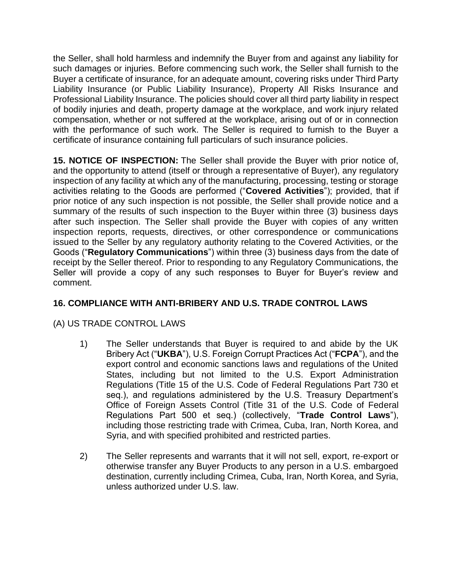the Seller, shall hold harmless and indemnify the Buyer from and against any liability for such damages or injuries. Before commencing such work, the Seller shall furnish to the Buyer a certificate of insurance, for an adequate amount, covering risks under Third Party Liability Insurance (or Public Liability Insurance), Property All Risks Insurance and Professional Liability Insurance. The policies should cover all third party liability in respect of bodily injuries and death, property damage at the workplace, and work injury related compensation, whether or not suffered at the workplace, arising out of or in connection with the performance of such work. The Seller is required to furnish to the Buyer a certificate of insurance containing full particulars of such insurance policies.

**15. NOTICE OF INSPECTION:** The Seller shall provide the Buyer with prior notice of, and the opportunity to attend (itself or through a representative of Buyer), any regulatory inspection of any facility at which any of the manufacturing, processing, testing or storage activities relating to the Goods are performed ("**Covered Activities**"); provided, that if prior notice of any such inspection is not possible, the Seller shall provide notice and a summary of the results of such inspection to the Buyer within three (3) business days after such inspection. The Seller shall provide the Buyer with copies of any written inspection reports, requests, directives, or other correspondence or communications issued to the Seller by any regulatory authority relating to the Covered Activities, or the Goods ("**Regulatory Communications**") within three (3) business days from the date of receipt by the Seller thereof. Prior to responding to any Regulatory Communications, the Seller will provide a copy of any such responses to Buyer for Buyer's review and comment.

## **16. COMPLIANCE WITH ANTI-BRIBERY AND U.S. TRADE CONTROL LAWS**

## (A) US TRADE CONTROL LAWS

- 1) The Seller understands that Buyer is required to and abide by the UK Bribery Act ("**UKBA**"), U.S. Foreign Corrupt Practices Act ("**FCPA**"), and the export control and economic sanctions laws and regulations of the United States, including but not limited to the U.S. Export Administration Regulations (Title 15 of the U.S. Code of Federal Regulations Part 730 et seq.), and regulations administered by the U.S. Treasury Department's Office of Foreign Assets Control (Title 31 of the U.S. Code of Federal Regulations Part 500 et seq.) (collectively, "**Trade Control Laws**"), including those restricting trade with Crimea, Cuba, Iran, North Korea, and Syria, and with specified prohibited and restricted parties.
- 2) The Seller represents and warrants that it will not sell, export, re-export or otherwise transfer any Buyer Products to any person in a U.S. embargoed destination, currently including Crimea, Cuba, Iran, North Korea, and Syria, unless authorized under U.S. law.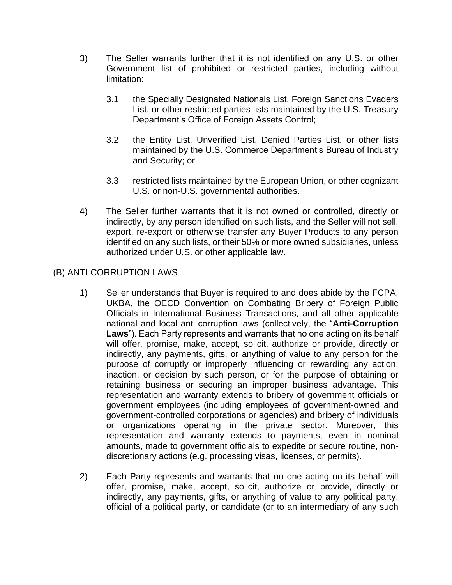- 3) The Seller warrants further that it is not identified on any U.S. or other Government list of prohibited or restricted parties, including without limitation:
	- 3.1 the Specially Designated Nationals List, Foreign Sanctions Evaders List, or other restricted parties lists maintained by the U.S. Treasury Department's Office of Foreign Assets Control;
	- 3.2 the Entity List, Unverified List, Denied Parties List, or other lists maintained by the U.S. Commerce Department's Bureau of Industry and Security; or
	- 3.3 restricted lists maintained by the European Union, or other cognizant U.S. or non-U.S. governmental authorities.
- 4) The Seller further warrants that it is not owned or controlled, directly or indirectly, by any person identified on such lists, and the Seller will not sell, export, re-export or otherwise transfer any Buyer Products to any person identified on any such lists, or their 50% or more owned subsidiaries, unless authorized under U.S. or other applicable law.

## (B) ANTI-CORRUPTION LAWS

- 1) Seller understands that Buyer is required to and does abide by the FCPA, UKBA, the OECD Convention on Combating Bribery of Foreign Public Officials in International Business Transactions, and all other applicable national and local anti-corruption laws (collectively, the "**Anti-Corruption Laws**"). Each Party represents and warrants that no one acting on its behalf will offer, promise, make, accept, solicit, authorize or provide, directly or indirectly, any payments, gifts, or anything of value to any person for the purpose of corruptly or improperly influencing or rewarding any action, inaction, or decision by such person, or for the purpose of obtaining or retaining business or securing an improper business advantage. This representation and warranty extends to bribery of government officials or government employees (including employees of government-owned and government-controlled corporations or agencies) and bribery of individuals or organizations operating in the private sector. Moreover, this representation and warranty extends to payments, even in nominal amounts, made to government officials to expedite or secure routine, nondiscretionary actions (e.g. processing visas, licenses, or permits).
- 2) Each Party represents and warrants that no one acting on its behalf will offer, promise, make, accept, solicit, authorize or provide, directly or indirectly, any payments, gifts, or anything of value to any political party, official of a political party, or candidate (or to an intermediary of any such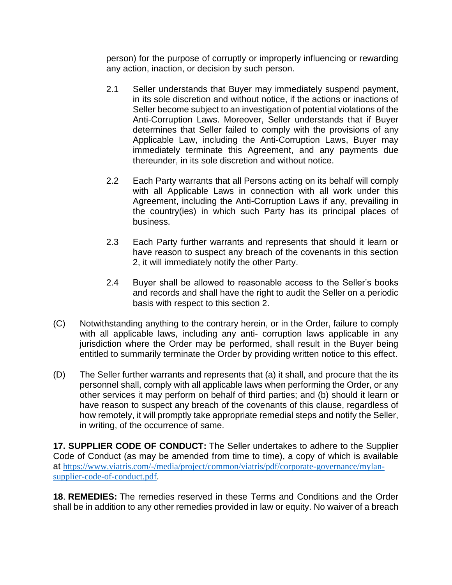person) for the purpose of corruptly or improperly influencing or rewarding any action, inaction, or decision by such person.

- 2.1 Seller understands that Buyer may immediately suspend payment, in its sole discretion and without notice, if the actions or inactions of Seller become subject to an investigation of potential violations of the Anti-Corruption Laws. Moreover, Seller understands that if Buyer determines that Seller failed to comply with the provisions of any Applicable Law, including the Anti-Corruption Laws, Buyer may immediately terminate this Agreement, and any payments due thereunder, in its sole discretion and without notice.
- 2.2 Each Party warrants that all Persons acting on its behalf will comply with all Applicable Laws in connection with all work under this Agreement, including the Anti-Corruption Laws if any, prevailing in the country(ies) in which such Party has its principal places of business.
- 2.3 Each Party further warrants and represents that should it learn or have reason to suspect any breach of the covenants in this section 2, it will immediately notify the other Party.
- 2.4 Buyer shall be allowed to reasonable access to the Seller's books and records and shall have the right to audit the Seller on a periodic basis with respect to this section 2.
- (C) Notwithstanding anything to the contrary herein, or in the Order, failure to comply with all applicable laws, including any anti- corruption laws applicable in any jurisdiction where the Order may be performed, shall result in the Buyer being entitled to summarily terminate the Order by providing written notice to this effect.
- (D) The Seller further warrants and represents that (a) it shall, and procure that the its personnel shall, comply with all applicable laws when performing the Order, or any other services it may perform on behalf of third parties; and (b) should it learn or have reason to suspect any breach of the covenants of this clause, regardless of how remotely, it will promptly take appropriate remedial steps and notify the Seller, in writing, of the occurrence of same.

**17. SUPPLIER CODE OF CONDUCT:** The Seller undertakes to adhere to the Supplier Code of Conduct (as may be amended from time to time), a copy of which is available at [https://www.viatris.com/-/media/project/common/viatris/pdf/corporate-governance/mylan](https://www.viatris.com/-/media/project/common/viatris/pdf/corporate-governance/mylan-supplier-code-of-conduct.pdf)[supplier-code-of-conduct.pdf.](https://www.viatris.com/-/media/project/common/viatris/pdf/corporate-governance/mylan-supplier-code-of-conduct.pdf)

**18**. **REMEDIES:** The remedies reserved in these Terms and Conditions and the Order shall be in addition to any other remedies provided in law or equity. No waiver of a breach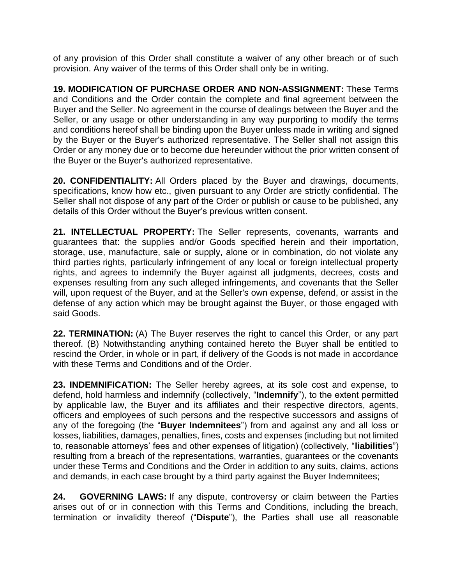of any provision of this Order shall constitute a waiver of any other breach or of such provision. Any waiver of the terms of this Order shall only be in writing.

**19. MODIFICATION OF PURCHASE ORDER AND NON-ASSIGNMENT:** These Terms and Conditions and the Order contain the complete and final agreement between the Buyer and the Seller. No agreement in the course of dealings between the Buyer and the Seller, or any usage or other understanding in any way purporting to modify the terms and conditions hereof shall be binding upon the Buyer unless made in writing and signed by the Buyer or the Buyer's authorized representative. The Seller shall not assign this Order or any money due or to become due hereunder without the prior written consent of the Buyer or the Buyer's authorized representative.

**20. CONFIDENTIALITY:** All Orders placed by the Buyer and drawings, documents, specifications, know how etc., given pursuant to any Order are strictly confidential. The Seller shall not dispose of any part of the Order or publish or cause to be published, any details of this Order without the Buyer's previous written consent.

**21. INTELLECTUAL PROPERTY:** The Seller represents, covenants, warrants and guarantees that: the supplies and/or Goods specified herein and their importation, storage, use, manufacture, sale or supply, alone or in combination, do not violate any third parties rights, particularly infringement of any local or foreign intellectual property rights, and agrees to indemnify the Buyer against all judgments, decrees, costs and expenses resulting from any such alleged infringements, and covenants that the Seller will, upon request of the Buyer, and at the Seller's own expense, defend, or assist in the defense of any action which may be brought against the Buyer, or those engaged with said Goods.

**22. TERMINATION:** (A) The Buyer reserves the right to cancel this Order, or any part thereof. (B) Notwithstanding anything contained hereto the Buyer shall be entitled to rescind the Order, in whole or in part, if delivery of the Goods is not made in accordance with these Terms and Conditions and of the Order.

**23. INDEMNIFICATION:** The Seller hereby agrees, at its sole cost and expense, to defend, hold harmless and indemnify (collectively, "**Indemnify**"), to the extent permitted by applicable law, the Buyer and its affiliates and their respective directors, agents, officers and employees of such persons and the respective successors and assigns of any of the foregoing (the "**Buyer Indemnitees**") from and against any and all loss or losses, liabilities, damages, penalties, fines, costs and expenses (including but not limited to, reasonable attorneys' fees and other expenses of litigation) (collectively, "**liabilities**") resulting from a breach of the representations, warranties, guarantees or the covenants under these Terms and Conditions and the Order in addition to any suits, claims, actions and demands, in each case brought by a third party against the Buyer Indemnitees;

**24. GOVERNING LAWS:** If any dispute, controversy or claim between the Parties arises out of or in connection with this Terms and Conditions, including the breach, termination or invalidity thereof ("**Dispute**"), the Parties shall use all reasonable